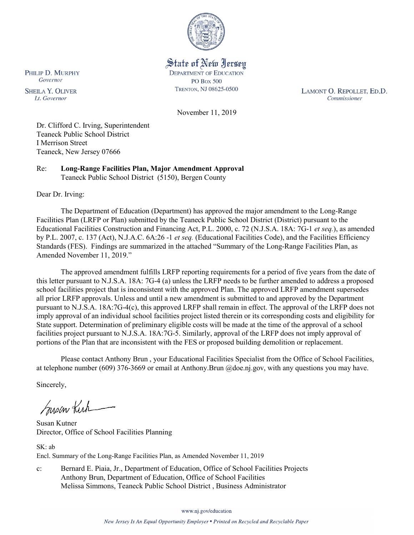

State of New Jersey **DEPARTMENT OF EDUCATION PO Box 500** TRENTON, NJ 08625-0500

LAMONT O. REPOLLET, ED.D. Commissioner

November 11, 2019

Dr. Clifford C. Irving, Superintendent Teaneck Public School District I Merrison Street Teaneck, New Jersey 07666

Re: **Long-Range Facilities Plan, Major Amendment Approval** Teaneck Public School District (5150), Bergen County

Dear Dr. Irving:

The Department of Education (Department) has approved the major amendment to the Long-Range Facilities Plan (LRFP or Plan) submitted by the Teaneck Public School District (District) pursuant to the Educational Facilities Construction and Financing Act, P.L. 2000, c. 72 (N.J.S.A. 18A: 7G-1 *et seq.*), as amended by P.L. 2007, c. 137 (Act), N.J.A.C. 6A:26 -1 *et seq.* (Educational Facilities Code), and the Facilities Efficiency Standards (FES). Findings are summarized in the attached "Summary of the Long-Range Facilities Plan, as Amended November 11, 2019."

The approved amendment fulfills LRFP reporting requirements for a period of five years from the date of this letter pursuant to N.J.S.A. 18A: 7G-4 (a) unless the LRFP needs to be further amended to address a proposed school facilities project that is inconsistent with the approved Plan. The approved LRFP amendment supersedes all prior LRFP approvals. Unless and until a new amendment is submitted to and approved by the Department pursuant to N.J.S.A. 18A:7G-4(c), this approved LRFP shall remain in effect. The approval of the LRFP does not imply approval of an individual school facilities project listed therein or its corresponding costs and eligibility for State support. Determination of preliminary eligible costs will be made at the time of the approval of a school facilities project pursuant to N.J.S.A. 18A:7G-5. Similarly, approval of the LRFP does not imply approval of portions of the Plan that are inconsistent with the FES or proposed building demolition or replacement.

Please contact Anthony Brun , your Educational Facilities Specialist from the Office of School Facilities, at telephone number (609) 376-3669 or email at Anthony.Brun @doe.nj.gov, with any questions you may have.

Sincerely,

Susan Kich

Susan Kutner Director, Office of School Facilities Planning

SK: ab Encl. Summary of the Long-Range Facilities Plan, as Amended November 11, 2019

c: Bernard E. Piaia, Jr., Department of Education, Office of School Facilities Projects Anthony Brun, Department of Education, Office of School Facilities Melissa Simmons, Teaneck Public School District , Business Administrator

www.nj.gov/education

PHILIP D. MURPHY Governor

**SHEILA Y. OLIVER** Lt. Governor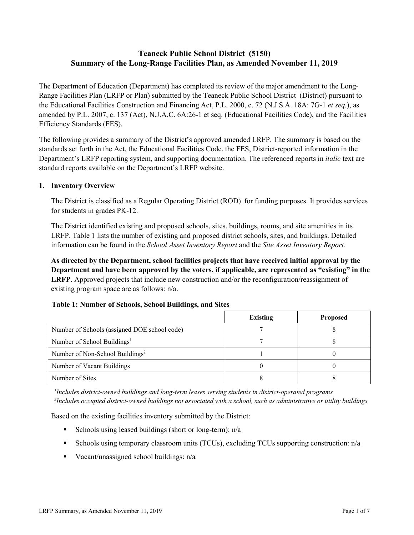# **Teaneck Public School District (5150) Summary of the Long-Range Facilities Plan, as Amended November 11, 2019**

The Department of Education (Department) has completed its review of the major amendment to the Long-Range Facilities Plan (LRFP or Plan) submitted by the Teaneck Public School District (District) pursuant to the Educational Facilities Construction and Financing Act, P.L. 2000, c. 72 (N.J.S.A. 18A: 7G-1 *et seq.*), as amended by P.L. 2007, c. 137 (Act), N.J.A.C. 6A:26-1 et seq. (Educational Facilities Code), and the Facilities Efficiency Standards (FES).

The following provides a summary of the District's approved amended LRFP. The summary is based on the standards set forth in the Act, the Educational Facilities Code, the FES, District-reported information in the Department's LRFP reporting system, and supporting documentation. The referenced reports in *italic* text are standard reports available on the Department's LRFP website.

### **1. Inventory Overview**

The District is classified as a Regular Operating District (ROD) for funding purposes. It provides services for students in grades PK-12.

The District identified existing and proposed schools, sites, buildings, rooms, and site amenities in its LRFP. Table 1 lists the number of existing and proposed district schools, sites, and buildings. Detailed information can be found in the *School Asset Inventory Report* and the *Site Asset Inventory Report.*

**As directed by the Department, school facilities projects that have received initial approval by the Department and have been approved by the voters, if applicable, are represented as "existing" in the LRFP.** Approved projects that include new construction and/or the reconfiguration/reassignment of existing program space are as follows: n/a.

#### **Table 1: Number of Schools, School Buildings, and Sites**

|                                              | <b>Existing</b> | <b>Proposed</b> |
|----------------------------------------------|-----------------|-----------------|
| Number of Schools (assigned DOE school code) |                 |                 |
| Number of School Buildings <sup>1</sup>      |                 |                 |
| Number of Non-School Buildings <sup>2</sup>  |                 |                 |
| Number of Vacant Buildings                   |                 |                 |
| Number of Sites                              |                 |                 |

*1 Includes district-owned buildings and long-term leases serving students in district-operated programs 2 Includes occupied district-owned buildings not associated with a school, such as administrative or utility buildings*

Based on the existing facilities inventory submitted by the District:

- Schools using leased buildings (short or long-term):  $n/a$
- Schools using temporary classroom units (TCUs), excluding TCUs supporting construction: n/a
- Vacant/unassigned school buildings:  $n/a$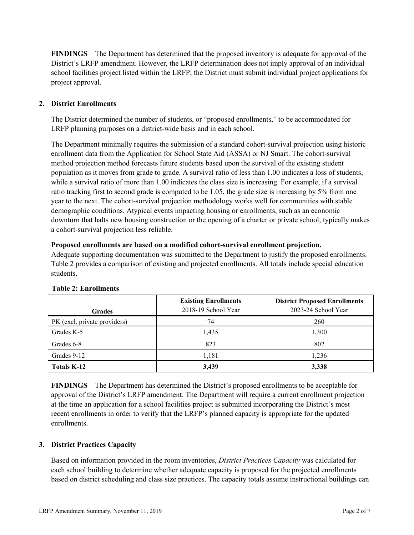**FINDINGS** The Department has determined that the proposed inventory is adequate for approval of the District's LRFP amendment. However, the LRFP determination does not imply approval of an individual school facilities project listed within the LRFP; the District must submit individual project applications for project approval.

# **2. District Enrollments**

The District determined the number of students, or "proposed enrollments," to be accommodated for LRFP planning purposes on a district-wide basis and in each school.

The Department minimally requires the submission of a standard cohort-survival projection using historic enrollment data from the Application for School State Aid (ASSA) or NJ Smart. The cohort-survival method projection method forecasts future students based upon the survival of the existing student population as it moves from grade to grade. A survival ratio of less than 1.00 indicates a loss of students, while a survival ratio of more than 1.00 indicates the class size is increasing. For example, if a survival ratio tracking first to second grade is computed to be 1.05, the grade size is increasing by 5% from one year to the next. The cohort-survival projection methodology works well for communities with stable demographic conditions. Atypical events impacting housing or enrollments, such as an economic downturn that halts new housing construction or the opening of a charter or private school, typically makes a cohort-survival projection less reliable.

### **Proposed enrollments are based on a modified cohort-survival enrollment projection.**

Adequate supporting documentation was submitted to the Department to justify the proposed enrollments. Table 2 provides a comparison of existing and projected enrollments. All totals include special education students.

| <b>Grades</b>                | <b>Existing Enrollments</b><br>2018-19 School Year | <b>District Proposed Enrollments</b><br>2023-24 School Year |
|------------------------------|----------------------------------------------------|-------------------------------------------------------------|
| PK (excl. private providers) | 74                                                 | 260                                                         |
| Grades K-5                   | 1,435                                              | 1,300                                                       |
| Grades 6-8                   | 823                                                | 802                                                         |
| Grades 9-12                  | 1,181                                              | 1,236                                                       |
| <b>Totals K-12</b>           | 3,439                                              | 3,338                                                       |

#### **Table 2: Enrollments**

**FINDINGS** The Department has determined the District's proposed enrollments to be acceptable for approval of the District's LRFP amendment. The Department will require a current enrollment projection at the time an application for a school facilities project is submitted incorporating the District's most recent enrollments in order to verify that the LRFP's planned capacity is appropriate for the updated enrollments.

# **3. District Practices Capacity**

Based on information provided in the room inventories, *District Practices Capacity* was calculated for each school building to determine whether adequate capacity is proposed for the projected enrollments based on district scheduling and class size practices. The capacity totals assume instructional buildings can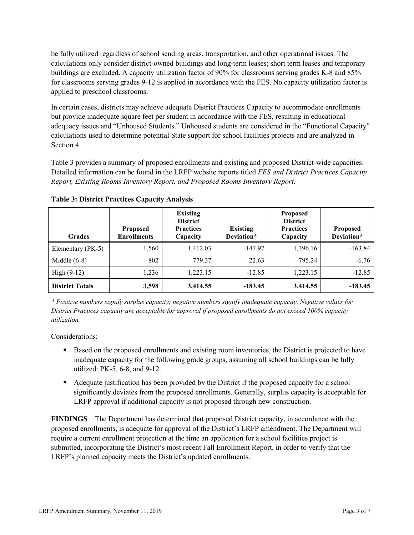be fully utilized regardless of school sending areas, transportation, and other operational issues. The calculations only consider district-owned buildings and long-term leases; short term leases and temporary buildings are excluded. A capacity utilization factor of 90% for classrooms serving grades K-8 and 85% for classrooms serving grades 9-12 is applied in accordance with the FES. No capacity utilization factor is applied to preschool classrooms.

In certain cases, districts may achieve adequate District Practices Capacity to accommodate enrollments but provide inadequate square feet per student in accordance with the FES, resulting in educational adequacy issues and "Unhoused Students." Unhoused students are considered in the "Functional Capacity" calculations used to determine potential State support for school facilities projects and are analyzed in Section 4.

Table 3 provides a summary of proposed enrollments and existing and proposed District-wide capacities. Detailed information can be found in the LRFP website reports titled *FES and District Practices Capacity Report, Existing Rooms Inventory Report, and Proposed Rooms Inventory Report.*

| <b>Grades</b>          | <b>Proposed</b><br><b>Enrollments</b> | <b>Existing</b><br><b>District</b><br><b>Practices</b><br>Capacity | <b>Existing</b><br>Deviation* | <b>Proposed</b><br><b>District</b><br><b>Practices</b><br>Capacity | <b>Proposed</b><br>Deviation* |
|------------------------|---------------------------------------|--------------------------------------------------------------------|-------------------------------|--------------------------------------------------------------------|-------------------------------|
| Elementary (PK-5)      | 1,560                                 | 1,412.03                                                           | $-147.97$                     | 1,396.16                                                           | $-163.84$                     |
| Middle $(6-8)$         | 802                                   | 779.37                                                             | $-22.63$                      | 795.24                                                             | $-6.76$                       |
| High $(9-12)$          | 1,236                                 | 1.223.15                                                           | $-12.85$                      | 1,223.15                                                           | $-12.85$                      |
| <b>District Totals</b> | 3,598                                 | 3,414.55                                                           | $-183.45$                     | 3,414.55                                                           | $-183.45$                     |

**Table 3: District Practices Capacity Analysis**

*\* Positive numbers signify surplus capacity; negative numbers signify inadequate capacity. Negative values for District Practices capacity are acceptable for approval if proposed enrollments do not exceed 100% capacity utilization.*

Considerations:

- **Based on the proposed enrollments and existing room inventories, the District is projected to have** inadequate capacity for the following grade groups, assuming all school buildings can be fully utilized: PK-5, 6-8, and 9-12.
- Adequate justification has been provided by the District if the proposed capacity for a school significantly deviates from the proposed enrollments. Generally, surplus capacity is acceptable for LRFP approval if additional capacity is not proposed through new construction.

**FINDINGS**The Department has determined that proposed District capacity, in accordance with the proposed enrollments, is adequate for approval of the District's LRFP amendment. The Department will require a current enrollment projection at the time an application for a school facilities project is submitted, incorporating the District's most recent Fall Enrollment Report, in order to verify that the LRFP's planned capacity meets the District's updated enrollments.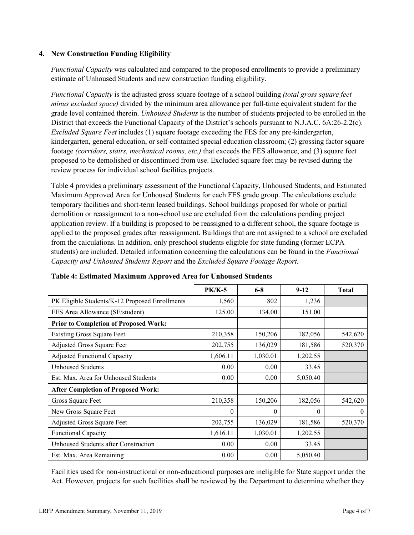### **4. New Construction Funding Eligibility**

*Functional Capacity* was calculated and compared to the proposed enrollments to provide a preliminary estimate of Unhoused Students and new construction funding eligibility.

*Functional Capacity* is the adjusted gross square footage of a school building *(total gross square feet minus excluded space)* divided by the minimum area allowance per full-time equivalent student for the grade level contained therein. *Unhoused Students* is the number of students projected to be enrolled in the District that exceeds the Functional Capacity of the District's schools pursuant to N.J.A.C. 6A:26-2.2(c). *Excluded Square Feet* includes (1) square footage exceeding the FES for any pre-kindergarten, kindergarten, general education, or self-contained special education classroom; (2) grossing factor square footage *(corridors, stairs, mechanical rooms, etc.)* that exceeds the FES allowance, and (3) square feet proposed to be demolished or discontinued from use. Excluded square feet may be revised during the review process for individual school facilities projects.

Table 4 provides a preliminary assessment of the Functional Capacity, Unhoused Students, and Estimated Maximum Approved Area for Unhoused Students for each FES grade group. The calculations exclude temporary facilities and short-term leased buildings. School buildings proposed for whole or partial demolition or reassignment to a non-school use are excluded from the calculations pending project application review. If a building is proposed to be reassigned to a different school, the square footage is applied to the proposed grades after reassignment. Buildings that are not assigned to a school are excluded from the calculations. In addition, only preschool students eligible for state funding (former ECPA students) are included. Detailed information concerning the calculations can be found in the *Functional Capacity and Unhoused Students Report* and the *Excluded Square Footage Report.*

|                                                | $PK/K-5$ | $6 - 8$  | $9 - 12$ | <b>Total</b> |
|------------------------------------------------|----------|----------|----------|--------------|
| PK Eligible Students/K-12 Proposed Enrollments | 1,560    | 802      | 1,236    |              |
| FES Area Allowance (SF/student)                | 125.00   | 134.00   | 151.00   |              |
| <b>Prior to Completion of Proposed Work:</b>   |          |          |          |              |
| <b>Existing Gross Square Feet</b>              | 210,358  | 150,206  | 182,056  | 542,620      |
| Adjusted Gross Square Feet                     | 202,755  | 136,029  | 181,586  | 520,370      |
| <b>Adjusted Functional Capacity</b>            | 1,606.11 | 1,030.01 | 1,202.55 |              |
| Unhoused Students                              | 0.00     | 0.00     | 33.45    |              |
| Est. Max. Area for Unhoused Students           | 0.00     | 0.00     | 5,050.40 |              |
| <b>After Completion of Proposed Work:</b>      |          |          |          |              |
| Gross Square Feet                              | 210,358  | 150,206  | 182,056  | 542,620      |
| New Gross Square Feet                          | $\theta$ | $\theta$ | $\theta$ | $\theta$     |
| Adjusted Gross Square Feet                     | 202,755  | 136,029  | 181,586  | 520,370      |
| <b>Functional Capacity</b>                     | 1,616.11 | 1,030.01 | 1,202.55 |              |
| Unhoused Students after Construction           | 0.00     | 0.00     | 33.45    |              |
| Est. Max. Area Remaining                       | 0.00     | 0.00     | 5,050.40 |              |

**Table 4: Estimated Maximum Approved Area for Unhoused Students**

Facilities used for non-instructional or non-educational purposes are ineligible for State support under the Act. However, projects for such facilities shall be reviewed by the Department to determine whether they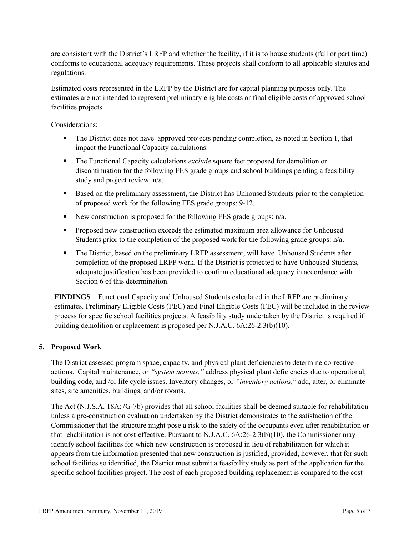are consistent with the District's LRFP and whether the facility, if it is to house students (full or part time) conforms to educational adequacy requirements. These projects shall conform to all applicable statutes and regulations.

Estimated costs represented in the LRFP by the District are for capital planning purposes only. The estimates are not intended to represent preliminary eligible costs or final eligible costs of approved school facilities projects.

Considerations:

- The District does not have approved projects pending completion, as noted in Section 1, that impact the Functional Capacity calculations.
- The Functional Capacity calculations *exclude* square feet proposed for demolition or discontinuation for the following FES grade groups and school buildings pending a feasibility study and project review: n/a.
- Based on the preliminary assessment, the District has Unhoused Students prior to the completion of proposed work for the following FES grade groups: 9-12.
- New construction is proposed for the following FES grade groups:  $n/a$ .
- **Proposed new construction exceeds the estimated maximum area allowance for Unhoused** Students prior to the completion of the proposed work for the following grade groups: n/a.
- The District, based on the preliminary LRFP assessment, will have Unhoused Students after completion of the proposed LRFP work. If the District is projected to have Unhoused Students, adequate justification has been provided to confirm educational adequacy in accordance with Section 6 of this determination.

**FINDINGS** Functional Capacity and Unhoused Students calculated in the LRFP are preliminary estimates. Preliminary Eligible Costs (PEC) and Final Eligible Costs (FEC) will be included in the review process for specific school facilities projects. A feasibility study undertaken by the District is required if building demolition or replacement is proposed per N.J.A.C. 6A:26-2.3(b)(10).

# **5. Proposed Work**

The District assessed program space, capacity, and physical plant deficiencies to determine corrective actions. Capital maintenance, or *"system actions,"* address physical plant deficiencies due to operational, building code, and /or life cycle issues. Inventory changes, or *"inventory actions,*" add, alter, or eliminate sites, site amenities, buildings, and/or rooms.

The Act (N.J.S.A. 18A:7G-7b) provides that all school facilities shall be deemed suitable for rehabilitation unless a pre-construction evaluation undertaken by the District demonstrates to the satisfaction of the Commissioner that the structure might pose a risk to the safety of the occupants even after rehabilitation or that rehabilitation is not cost-effective. Pursuant to N.J.A.C. 6A:26-2.3(b)(10), the Commissioner may identify school facilities for which new construction is proposed in lieu of rehabilitation for which it appears from the information presented that new construction is justified, provided, however, that for such school facilities so identified, the District must submit a feasibility study as part of the application for the specific school facilities project. The cost of each proposed building replacement is compared to the cost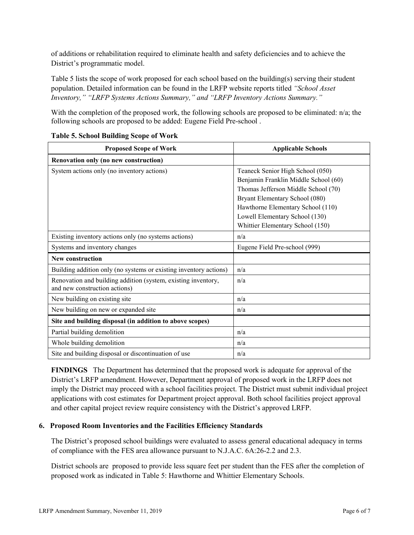of additions or rehabilitation required to eliminate health and safety deficiencies and to achieve the District's programmatic model.

Table 5 lists the scope of work proposed for each school based on the building(s) serving their student population. Detailed information can be found in the LRFP website reports titled *"School Asset Inventory," "LRFP Systems Actions Summary," and "LRFP Inventory Actions Summary."*

With the completion of the proposed work, the following schools are proposed to be eliminated: n/a; the following schools are proposed to be added: Eugene Field Pre-school .

| <b>Proposed Scope of Work</b>                                     | <b>Applicable Schools</b>            |
|-------------------------------------------------------------------|--------------------------------------|
| Renovation only (no new construction)                             |                                      |
| System actions only (no inventory actions)                        | Teaneck Senior High School (050)     |
|                                                                   | Benjamin Franklin Middle School (60) |
|                                                                   | Thomas Jefferson Middle School (70)  |
|                                                                   | Bryant Elementary School (080)       |
|                                                                   | Hawthorne Elementary School (110)    |
|                                                                   | Lowell Elementary School (130)       |
|                                                                   | Whittier Elementary School (150)     |
| Existing inventory actions only (no systems actions)              | n/a                                  |
| Systems and inventory changes                                     | Eugene Field Pre-school (999)        |
| <b>New construction</b>                                           |                                      |
| Building addition only (no systems or existing inventory actions) | n/a                                  |
| Renovation and building addition (system, existing inventory,     | n/a                                  |
| and new construction actions)                                     |                                      |
| New building on existing site                                     | n/a                                  |
| New building on new or expanded site                              | n/a                                  |
| Site and building disposal (in addition to above scopes)          |                                      |
| Partial building demolition                                       | n/a                                  |
| Whole building demolition                                         | n/a                                  |
| Site and building disposal or discontinuation of use              | n/a                                  |

### **Table 5. School Building Scope of Work**

**FINDINGS** The Department has determined that the proposed work is adequate for approval of the District's LRFP amendment. However, Department approval of proposed work in the LRFP does not imply the District may proceed with a school facilities project. The District must submit individual project applications with cost estimates for Department project approval. Both school facilities project approval and other capital project review require consistency with the District's approved LRFP.

# **6. Proposed Room Inventories and the Facilities Efficiency Standards**

The District's proposed school buildings were evaluated to assess general educational adequacy in terms of compliance with the FES area allowance pursuant to N.J.A.C. 6A:26-2.2 and 2.3.

District schools are proposed to provide less square feet per student than the FES after the completion of proposed work as indicated in Table 5: Hawthorne and Whittier Elementary Schools.